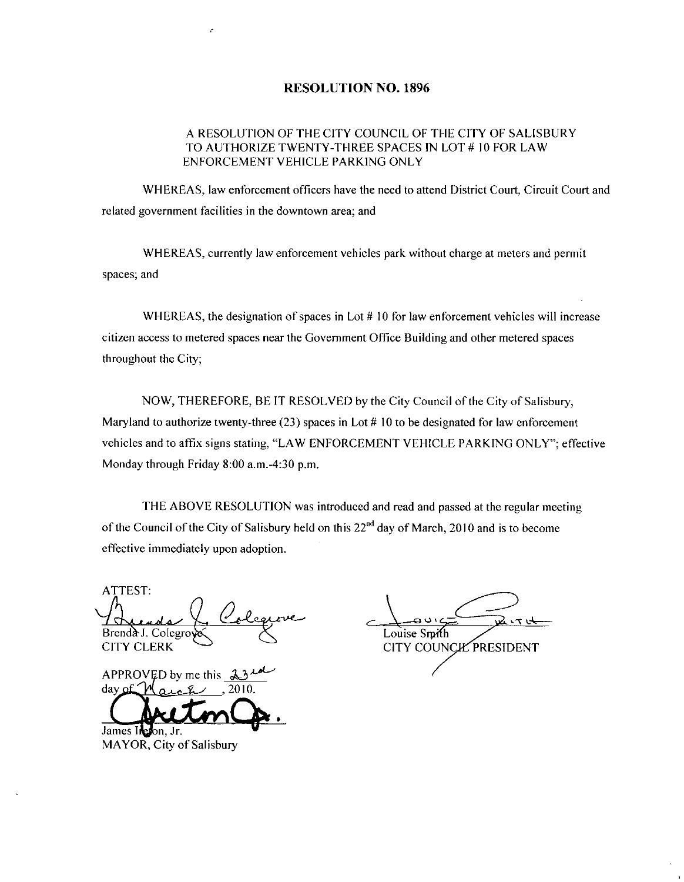## RESOLUTION NO. 1896

## F<br> **A RESOLUTION OF THE CITY COUNCIL OF THE CITY OF SALISBURY<br>
TO AUTHORIZE TWENTY-THREE SPACES IN LOT # 10 FOR LAW<br>
ENFORCEMENT VEHICLE PARKING ONLY** A RESOLUTION OF THE CITY COUNCIL OF THE CITY OF SALISBURY<br>TO AUTHORIZE TWENTY-THREE SPACES IN LOT # 10 FOR LAW ENFORCEMENT VEHICLE PARKING ONLY

WHEREAS, law enforcement officers have the need to attend District Court, Circuit Court and related government facilities in the downtown area; and

WHEREAS currently law enforcement vehicles park without charge at meters and permit spaces; and

WHEREAS, the designation of spaces in Lot  $#10$  for law enforcement vehicles will increase citizen access to metered spaces near the Government Office Building and other metered spaces throughout the City;

NOW, THEREFORE, BE IT RESOLVED by the City Council of the City of Salisbury, Maryland to authorize twenty-three (23) spaces in Lot  $# 10$  to be designated for law enforcement vehicles and to affix signs stating, "LAW ENFORCEMENT VEHICLE PARKING ONLY"; effective NOW, THEREFORE, BE IT RESOI<br>Maryland to authorize twenty-three (23) space<br>vehicles and to affix signs stating, "LAW EN<br>Monday through Friday 8:00 a.m.-4:30 p.m.

THE ABOVE RESOLUTION was introduced and read and passed at the regular meeting of the Council of the City of Salisbury held on this 22<sup>nd</sup> day of March, 2010 and is to become effective immediately upon adoption

ATTEST Brenda J. Colegro CITY CLERK SOLUTION<br>of Salisbury<br>an adoption.<br>23 in the Company<br>2010.

day APPROVED by me this 2010

James Irefon, Jr. MAYOR, City of Salisbury

Louise Smith CITY COUNCIL PRESIDENT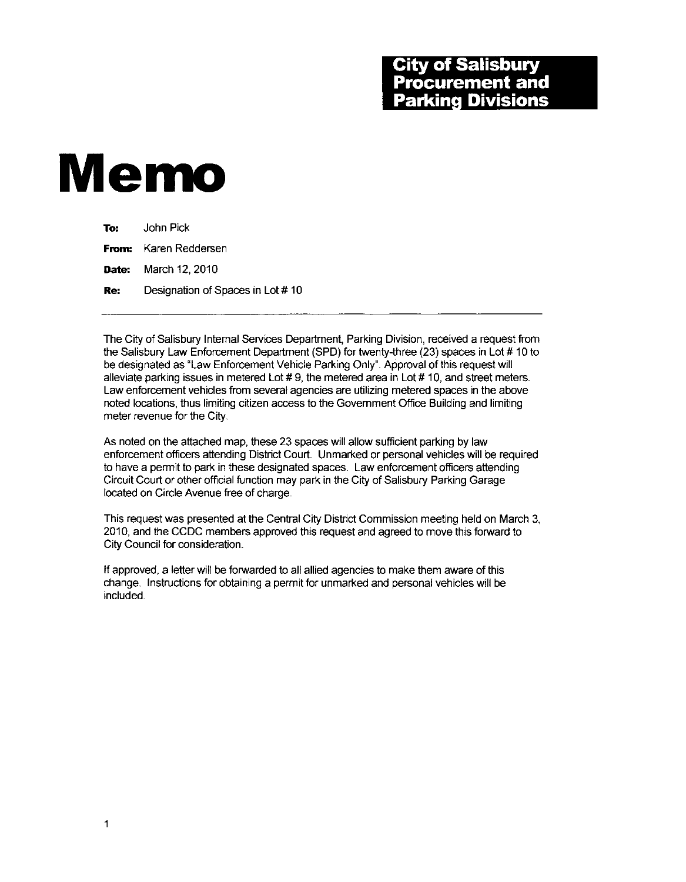## **City of Salisbury<br>Procurement and Parking Divisions**

## Memo

| To: Top | John Pick                        |
|---------|----------------------------------|
|         | <b>From:</b> Karen Reddersen     |
|         | <b>Date:</b> March 12, 2010      |
| Re:     | Designation of Spaces in Lot #10 |

The City of Salisbury Internal Services Department, Parking Division, received a request from the Salisbury Law Enforcement Department (SPD) for twenty-three (23) spaces in Lot # 10 to be designated as "Law Enforcement Vehicle Parking Only". Approval of this request will alleviate parking issues in metered Lot  $# 9$ , the metered area in Lot  $# 10$ , and street meters. Law enforcement vehicles from several agencies are utilizing metered spaces in the above noted locations thus limiting citizen access to the Government Office Building and limiting meter revenue for the City

As noted on the attached map, these 23 spaces will allow sufficient parking by law enforcement officers attending District Court. Unmarked or personal vehicles will be required to have a permit to park in these designated spaces Law enforcement officers attending Circuit Court or other official function may park in the City of Salisbury Parking Garage located on Circle Avenue free of charge.

This request was presented at the Central City District Commission meeting held on March 3 2010 and the CCDC members approved this request and agreed to move thisforward to City Council for consideration

If approved, a letter will be forwarded to all allied agencies to make them aware of this change. Instructions for obtaining a permit for unmarked and personal vehicles will be included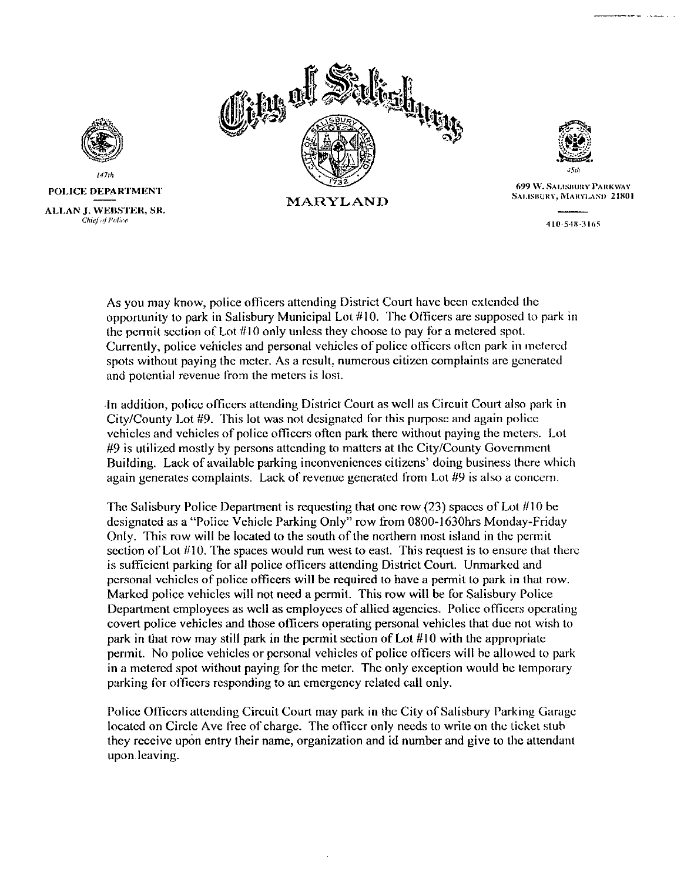



Sulface Contract Contract Contract Contract Contract Contract Contract Contract Contract Contract Contract Contract Contract Contract Contract Contract Contract Contract Contract Contract Contract Contract Contract Contrac 699 W. Salisbury Parkway<br>Salisbury, Maryland 21801 4504<br>Salisbury Pa<br>Kv, Marylan<br>**110-548-3165**<br>410-548-3165

410-548-3165

As you may know, police officers attending District Court have been extended the opportunity to park in Salisbury Municipal Lot  $#10$ . The Officers are supposed to park in the permit section of Lot  $#10$  only unless they choose to pay for a metered spot. Currently, police vehicles and personal vehicles of police officers often park in metered spots without paying the meter. As a result, numerous citizen complaints are generated and potential revenue from the meters is lost

In addition, police officers attending District Court as well as Circuit Court also park in<br>City/County Lot #9. This lot was not designated for this purpose and again police<br>vehicles and vehicles of police officers often p vehicles and vehicles of police officers often park there without paying the meters. Lot  $\#9$  is utilized mostly by persons attending to matters at the City/County Government<br>Building. Look of weilable perking inconvenien Building. Lack of available parking inconveniences citizens' doing business there which again generates complaints. Lack of revenue generated from Lot  $#9$  is also a concern.

The Salisbury Police Department is requesting that one row  $(23)$  spaces of Lot  $#10$  be designated as a "Police Vehicle Parking Only" row from 0800-1630hrs Monday-Friday Only. This row will be located to the south of the northern most island in the permit section of Lot  $#10$ . The spaces would run west to east. This request is to ensure that there is sufficient parking for all police officers attending District Court. Unmarked and personal vehicles of police officers will be required to have a permit to park in that row. Marked police vehicles will not need a permit. This row will be for Salisbury Police Department employees as well as employees of allied agencies. Police officers operating covert police vehicles and those officers operating personal vehicles that due not wish to park in that row may still park in the permit section of Lot  $#10$  with the appropriate permit No police vehicles or personal vehicles of police offcers wilt be allowed to park in a metered spot without paying for the meter. The only exception would be temporary<br>parking for officers responding to an emergency related call only.

Police Officers attending Circuit Court may park in the City of Salisbury Parking Garage located on Circle Ave free of charge. The officer only needs to write on the ticket stub they receive upon entry their name, organization and id number and give to the attendant upon leaving





147tli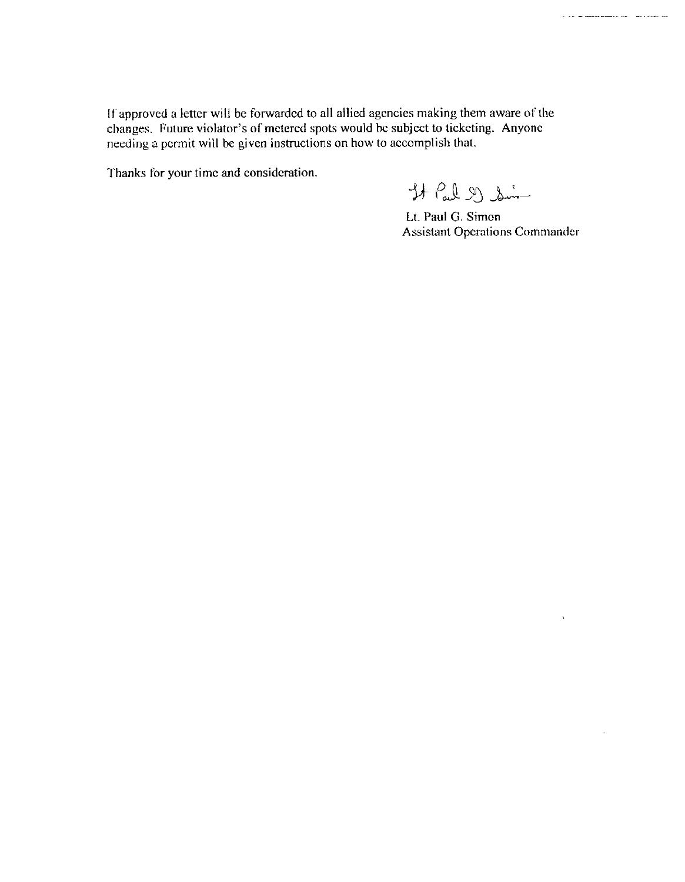If approved a letter will be forwarded to all allied agencies making them aware of the If approved a letter will be forwarded to all allied agencies making them aware of t<br>changes. Future violator's of metered spots would be subject to ticketing. Anyone<br>needing a permit will be given instructions on how to a needing a permit will be given instructions on how to accomplish that. changes. Future violator's of metered s<br>needing a permit will be given instruction<br>Thanks for your time and consideration

 $H$  Pal 2) So -

Lt. Paul G. Simon Assistant Operations Commander

 $\chi$ 

l.

a se acomunicación de la causa de